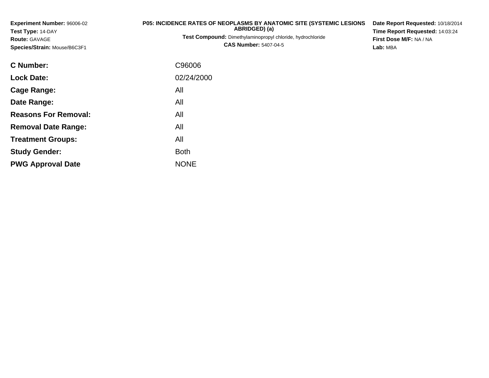**Experiment Number:** 96006-02**Test Type:** 14-DAY**Route:** GAVAGE**Species/Strain:** Mouse/B6C3F1

## **P05: INCIDENCE RATES OF NEOPLASMS BY ANATOMIC SITE (SYSTEMIC LESIONS ABRIDGED) (a)**

 **Test Compound:** Dimethylaminopropyl chloride, hydrochloride**CAS Number:** 5407-04-5

**Date Report Requested:** 10/18/2014**Time Report Requested:** 14:03:24**First Dose M/F:** NA / NA**Lab:** MBA

| <b>C</b> Number:            | C96006      |
|-----------------------------|-------------|
| <b>Lock Date:</b>           | 02/24/2000  |
| Cage Range:                 | All         |
| Date Range:                 | All         |
| <b>Reasons For Removal:</b> | All         |
| <b>Removal Date Range:</b>  | All         |
| <b>Treatment Groups:</b>    | All         |
| <b>Study Gender:</b>        | Both        |
| <b>PWG Approval Date</b>    | <b>NONE</b> |
|                             |             |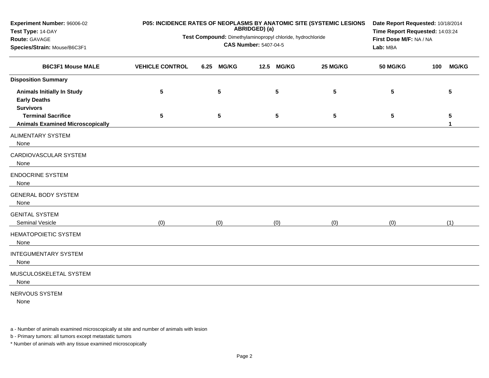| Experiment Number: 96006-02<br>Test Type: 14-DAY                             | P05: INCIDENCE RATES OF NEOPLASMS BY ANATOMIC SITE (SYSTEMIC LESIONS | Date Report Requested: 10/18/2014<br>Time Report Requested: 14:03:24<br>First Dose M/F: NA / NA<br>Lab: MBA |                      |           |                 |                     |
|------------------------------------------------------------------------------|----------------------------------------------------------------------|-------------------------------------------------------------------------------------------------------------|----------------------|-----------|-----------------|---------------------|
| Route: GAVAGE<br>Species/Strain: Mouse/B6C3F1                                | Test Compound: Dimethylaminopropyl chloride, hydrochloride           |                                                                                                             |                      |           |                 |                     |
| <b>B6C3F1 Mouse MALE</b>                                                     | <b>VEHICLE CONTROL</b>                                               | <b>MG/KG</b><br>6.25                                                                                        | <b>MG/KG</b><br>12.5 | 25 MG/KG  | <b>50 MG/KG</b> | <b>MG/KG</b><br>100 |
| <b>Disposition Summary</b>                                                   |                                                                      |                                                                                                             |                      |           |                 |                     |
| <b>Animals Initially In Study</b><br><b>Early Deaths</b><br><b>Survivors</b> | 5                                                                    | 5                                                                                                           | $5\phantom{.0}$      | 5         | 5               | 5                   |
| <b>Terminal Sacrifice</b><br><b>Animals Examined Microscopically</b>         | 5                                                                    | 5                                                                                                           | ${\bf 5}$            | ${\bf 5}$ | 5               | 5<br>1              |
| <b>ALIMENTARY SYSTEM</b><br>None                                             |                                                                      |                                                                                                             |                      |           |                 |                     |
| CARDIOVASCULAR SYSTEM<br>None                                                |                                                                      |                                                                                                             |                      |           |                 |                     |
| <b>ENDOCRINE SYSTEM</b><br>None                                              |                                                                      |                                                                                                             |                      |           |                 |                     |
| <b>GENERAL BODY SYSTEM</b><br>None                                           |                                                                      |                                                                                                             |                      |           |                 |                     |
| <b>GENITAL SYSTEM</b><br>Seminal Vesicle                                     | (0)                                                                  | (0)                                                                                                         | (0)                  | (0)       | (0)             | (1)                 |
| HEMATOPOIETIC SYSTEM<br>None                                                 |                                                                      |                                                                                                             |                      |           |                 |                     |
| <b>INTEGUMENTARY SYSTEM</b><br>None                                          |                                                                      |                                                                                                             |                      |           |                 |                     |
| MUSCULOSKELETAL SYSTEM<br>None                                               |                                                                      |                                                                                                             |                      |           |                 |                     |
| NERVOUS SYSTEM<br>None                                                       |                                                                      |                                                                                                             |                      |           |                 |                     |

b - Primary tumors: all tumors except metastatic tumors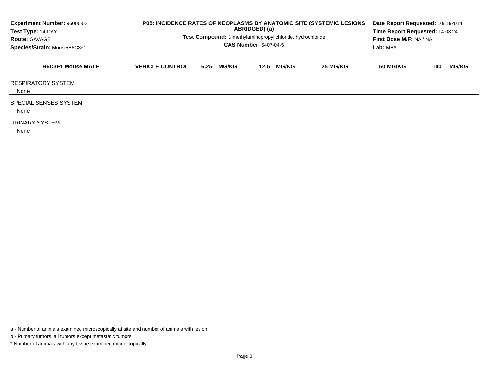| Experiment Number: 96006-02<br>Test Type: 14-DAY<br><b>Route: GAVAGE</b><br>Species/Strain: Mouse/B6C3F1 | P05: INCIDENCE RATES OF NEOPLASMS BY ANATOMIC SITE (SYSTEMIC LESIONS<br>ABRIDGED) (a)<br>Test Compound: Dimethylaminopropyl chloride, hydrochloride<br><b>CAS Number: 5407-04-5</b> |                      |                      |          |          | Date Report Requested: 10/18/2014<br>Time Report Requested: 14:03:24<br>First Dose M/F: NA / NA |
|----------------------------------------------------------------------------------------------------------|-------------------------------------------------------------------------------------------------------------------------------------------------------------------------------------|----------------------|----------------------|----------|----------|-------------------------------------------------------------------------------------------------|
| <b>B6C3F1 Mouse MALE</b>                                                                                 | <b>VEHICLE CONTROL</b>                                                                                                                                                              | <b>MG/KG</b><br>6.25 | <b>MG/KG</b><br>12.5 | 25 MG/KG | 50 MG/KG | <b>MG/KG</b><br>100                                                                             |
| <b>RESPIRATORY SYSTEM</b><br>None                                                                        |                                                                                                                                                                                     |                      |                      |          |          |                                                                                                 |
| SPECIAL SENSES SYSTEM<br>None                                                                            |                                                                                                                                                                                     |                      |                      |          |          |                                                                                                 |
| URINARY SYSTEM<br>None                                                                                   |                                                                                                                                                                                     |                      |                      |          |          |                                                                                                 |

b - Primary tumors: all tumors except metastatic tumors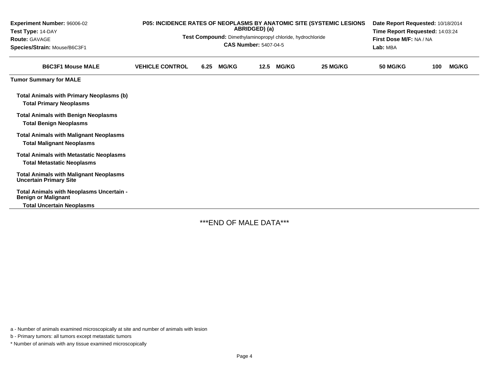| Experiment Number: 96006-02<br>Test Type: 14-DAY<br><b>Route: GAVAGE</b><br>Species/Strain: Mouse/B6C3F1   | <b>P05: INCIDENCE RATES OF NEOPLASMS BY ANATOMIC SITE (SYSTEMIC LESIONS</b><br>ABRIDGED) (a)<br>Test Compound: Dimethylaminopropyl chloride, hydrochloride<br><b>CAS Number: 5407-04-5</b> |      |              |      |              |          | Date Report Requested: 10/18/2014<br>Time Report Requested: 14:03:24<br>First Dose M/F: NA / NA<br>Lab: MBA |     |              |  |
|------------------------------------------------------------------------------------------------------------|--------------------------------------------------------------------------------------------------------------------------------------------------------------------------------------------|------|--------------|------|--------------|----------|-------------------------------------------------------------------------------------------------------------|-----|--------------|--|
| <b>B6C3F1 Mouse MALE</b>                                                                                   | <b>VEHICLE CONTROL</b>                                                                                                                                                                     | 6.25 | <b>MG/KG</b> | 12.5 | <b>MG/KG</b> | 25 MG/KG | <b>50 MG/KG</b>                                                                                             | 100 | <b>MG/KG</b> |  |
| <b>Tumor Summary for MALE</b>                                                                              |                                                                                                                                                                                            |      |              |      |              |          |                                                                                                             |     |              |  |
| <b>Total Animals with Primary Neoplasms (b)</b><br><b>Total Primary Neoplasms</b>                          |                                                                                                                                                                                            |      |              |      |              |          |                                                                                                             |     |              |  |
| <b>Total Animals with Benign Neoplasms</b><br><b>Total Benign Neoplasms</b>                                |                                                                                                                                                                                            |      |              |      |              |          |                                                                                                             |     |              |  |
| <b>Total Animals with Malignant Neoplasms</b><br><b>Total Malignant Neoplasms</b>                          |                                                                                                                                                                                            |      |              |      |              |          |                                                                                                             |     |              |  |
| <b>Total Animals with Metastatic Neoplasms</b><br><b>Total Metastatic Neoplasms</b>                        |                                                                                                                                                                                            |      |              |      |              |          |                                                                                                             |     |              |  |
| <b>Total Animals with Malignant Neoplasms</b><br><b>Uncertain Primary Site</b>                             |                                                                                                                                                                                            |      |              |      |              |          |                                                                                                             |     |              |  |
| Total Animals with Neoplasms Uncertain -<br><b>Benign or Malignant</b><br><b>Total Uncertain Neoplasms</b> |                                                                                                                                                                                            |      |              |      |              |          |                                                                                                             |     |              |  |

-

\*\*\*END OF MALE DATA\*\*\*

a - Number of animals examined microscopically at site and number of animals with lesion

b - Primary tumors: all tumors except metastatic tumors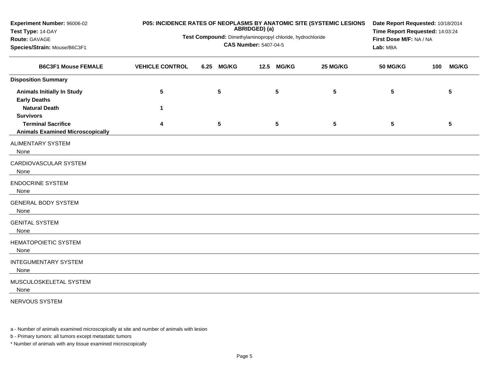| Experiment Number: 96006-02<br>Test Type: 14-DAY                     | P05: INCIDENCE RATES OF NEOPLASMS BY ANATOMIC SITE (SYSTEMIC LESIONS | Date Report Requested: 10/18/2014<br>Time Report Requested: 14:03:24<br>First Dose M/F: NA / NA<br>Lab: MBA |                 |      |                 |          |                 |     |                 |
|----------------------------------------------------------------------|----------------------------------------------------------------------|-------------------------------------------------------------------------------------------------------------|-----------------|------|-----------------|----------|-----------------|-----|-----------------|
| Route: GAVAGE<br>Species/Strain: Mouse/B6C3F1                        | Test Compound: Dimethylaminopropyl chloride, hydrochloride           |                                                                                                             |                 |      |                 |          |                 |     |                 |
| <b>B6C3F1 Mouse FEMALE</b>                                           | <b>VEHICLE CONTROL</b>                                               | 6.25                                                                                                        | <b>MG/KG</b>    | 12.5 | <b>MG/KG</b>    | 25 MG/KG | <b>50 MG/KG</b> | 100 | <b>MG/KG</b>    |
| <b>Disposition Summary</b>                                           |                                                                      |                                                                                                             |                 |      |                 |          |                 |     |                 |
| <b>Animals Initially In Study</b><br><b>Early Deaths</b>             | 5                                                                    |                                                                                                             | 5               |      | $5\phantom{.0}$ | 5        | 5               |     | $5\phantom{.0}$ |
| <b>Natural Death</b><br><b>Survivors</b>                             | $\mathbf 1$                                                          |                                                                                                             |                 |      |                 |          |                 |     |                 |
| <b>Terminal Sacrifice</b><br><b>Animals Examined Microscopically</b> | 4                                                                    |                                                                                                             | $5\phantom{.0}$ |      | $5\phantom{.0}$ | 5        | 5               |     | $5\phantom{.0}$ |
| <b>ALIMENTARY SYSTEM</b><br>None                                     |                                                                      |                                                                                                             |                 |      |                 |          |                 |     |                 |
| CARDIOVASCULAR SYSTEM<br>None                                        |                                                                      |                                                                                                             |                 |      |                 |          |                 |     |                 |
| <b>ENDOCRINE SYSTEM</b><br>None                                      |                                                                      |                                                                                                             |                 |      |                 |          |                 |     |                 |
| <b>GENERAL BODY SYSTEM</b><br>None                                   |                                                                      |                                                                                                             |                 |      |                 |          |                 |     |                 |
| <b>GENITAL SYSTEM</b><br>None                                        |                                                                      |                                                                                                             |                 |      |                 |          |                 |     |                 |
| <b>HEMATOPOIETIC SYSTEM</b><br>None                                  |                                                                      |                                                                                                             |                 |      |                 |          |                 |     |                 |
| <b>INTEGUMENTARY SYSTEM</b><br>None                                  |                                                                      |                                                                                                             |                 |      |                 |          |                 |     |                 |
| MUSCULOSKELETAL SYSTEM<br>None                                       |                                                                      |                                                                                                             |                 |      |                 |          |                 |     |                 |
| NERVOUS SYSTEM                                                       |                                                                      |                                                                                                             |                 |      |                 |          |                 |     |                 |

b - Primary tumors: all tumors except metastatic tumors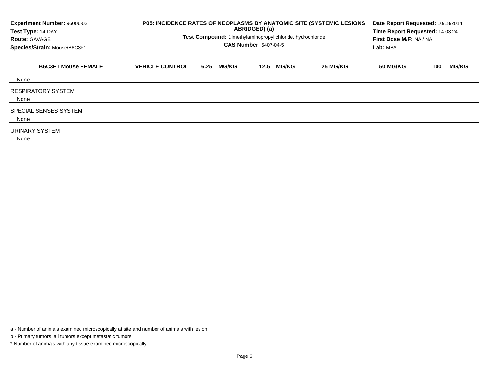| Experiment Number: 96006-02<br>Test Type: 14-DAY<br><b>Route: GAVAGE</b><br>Species/Strain: Mouse/B6C3F1 | P05: INCIDENCE RATES OF NEOPLASMS BY ANATOMIC SITE (SYSTEMIC LESIONS<br>Test Compound: Dimethylaminopropyl chloride, hydrochloride | Date Report Requested: 10/18/2014<br>Time Report Requested: 14:03:24<br>First Dose M/F: NA / NA<br><b>Lab:</b> MBA |                      |          |                 |                     |
|----------------------------------------------------------------------------------------------------------|------------------------------------------------------------------------------------------------------------------------------------|--------------------------------------------------------------------------------------------------------------------|----------------------|----------|-----------------|---------------------|
| <b>B6C3F1 Mouse FEMALE</b>                                                                               | <b>VEHICLE CONTROL</b>                                                                                                             | <b>MG/KG</b><br>6.25                                                                                               | <b>MG/KG</b><br>12.5 | 25 MG/KG | <b>50 MG/KG</b> | <b>MG/KG</b><br>100 |
| None                                                                                                     |                                                                                                                                    |                                                                                                                    |                      |          |                 |                     |
| <b>RESPIRATORY SYSTEM</b><br>None                                                                        |                                                                                                                                    |                                                                                                                    |                      |          |                 |                     |
| SPECIAL SENSES SYSTEM<br>None                                                                            |                                                                                                                                    |                                                                                                                    |                      |          |                 |                     |
| URINARY SYSTEM<br>None                                                                                   |                                                                                                                                    |                                                                                                                    |                      |          |                 |                     |

b - Primary tumors: all tumors except metastatic tumors